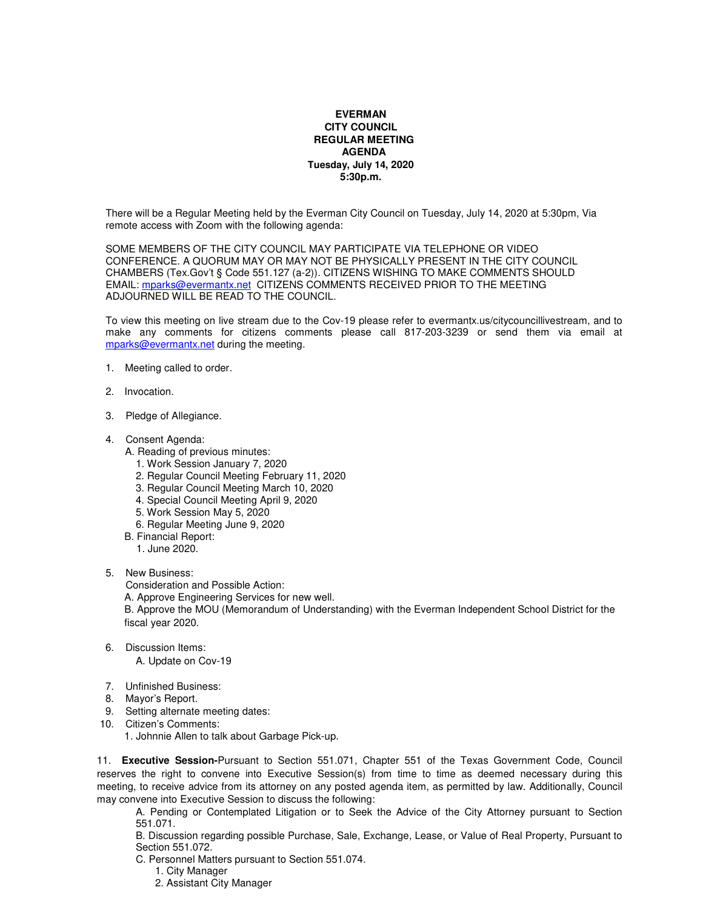## **EVERMAN CITY COUNCIL REGULAR MEETING AGENDA Tuesday, July 14, 2020 5:30p.m.**

There will be a Regular Meeting held by the Everman City Council on Tuesday, July 14, 2020 at 5:30pm, Via remote access with Zoom with the following agenda:

SOME MEMBERS OF THE CITY COUNCIL MAY PARTICIPATE VIA TELEPHONE OR VIDEO CONFERENCE. A QUORUM MAY OR MAY NOT BE PHYSICALLY PRESENT IN THE CITY COUNCIL CHAMBERS (Tex.Gov't § Code 551.127 (a-2)). CITIZENS WISHING TO MAKE COMMENTS SHOULD EMAIL: mparks@evermantx.net CITIZENS COMMENTS RECEIVED PRIOR TO THE MEETING ADJOURNED WILL BE READ TO THE COUNCIL.

To view this meeting on live stream due to the Cov-19 please refer to evermantx.us/citycouncillivestream, and to make any comments for citizens comments please call 817-203-3239 or send them via email at mparks@evermantx.net during the meeting.

- 1. Meeting called to order.
- 2. Invocation.
- 3. Pledge of Allegiance.
- 4. Consent Agenda:
	- A. Reading of previous minutes:
		- 1. Work Session January 7, 2020
		- 2. Regular Council Meeting February 11, 2020
		- 3. Regular Council Meeting March 10, 2020
		- 4. Special Council Meeting April 9, 2020
		- 5. Work Session May 5, 2020
		- 6. Regular Meeting June 9, 2020
	- B. Financial Report:
		- 1. June 2020.
- 5. New Business:

Consideration and Possible Action:

A. Approve Engineering Services for new well.

B. Approve the MOU (Memorandum of Understanding) with the Everman Independent School District for the fiscal year 2020.

- 6. Discussion Items: A. Update on Cov-19
- 7. Unfinished Business:
- 8.Mayor's Report.
- 9. Setting alternate meeting dates:
- 10. Citizen's Comments:

1. Johnnie Allen to talk about Garbage Pick-up.

11. **Executive Session-**Pursuant to Section 551.071, Chapter 551 of the Texas Government Code, Council reserves the right to convene into Executive Session(s) from time to time as deemed necessary during this meeting, to receive advice from its attorney on any posted agenda item, as permitted by law. Additionally, Council may convene into Executive Session to discuss the following:

A. Pending or Contemplated Litigation or to Seek the Advice of the City Attorney pursuant to Section 551.071.

B. Discussion regarding possible Purchase, Sale, Exchange, Lease, or Value of Real Property, Pursuant to Section 551.072.

- C. Personnel Matters pursuant to Section 551.074.
	- 1. City Manager
	- 2. Assistant City Manager